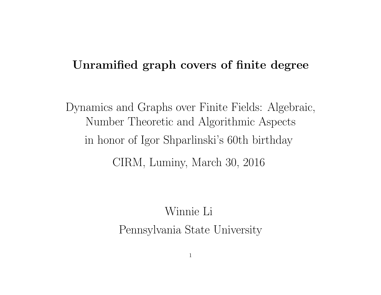## Unramified graph covers of finite degree

Dynamics and Graphs over Finite Fields: Algebraic, Number Theoretic and Algorithmic Aspects in honor of Igor Shparlinski's 60th birthday CIRM, Luminy, March 30, 2016

> Winnie Li Pennsylvania State University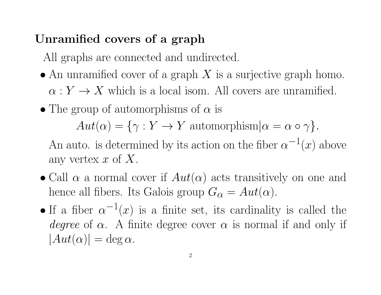# Unramified covers of a graph

All graphs are connected and undirected.

- An unramified cover of a graph  $X$  is a surjective graph homo.  $\alpha: Y \to X$  which is a local isom. All covers are unramified.
- The group of automorphisms of  $\alpha$  is

 $Aut(\alpha) = {\gamma : Y \to Y}$  automorphism $|\alpha = \alpha \circ \gamma|$ .

An auto. is determined by its action on the fiber  $\alpha^{-1}(x)$  above any vertex  $x$  of  $X$ .

- Call  $\alpha$  a normal cover if  $Aut(\alpha)$  acts transitively on one and hence all fibers. Its Galois group  $G_{\alpha} = Aut(\alpha)$ .
- If a fiber  $\alpha^{-1}(x)$  is a finite set, its cardinality is called the degree of  $\alpha$ . A finite degree cover  $\alpha$  is normal if and only if  $|Aut(\alpha)| = \deg \alpha$ .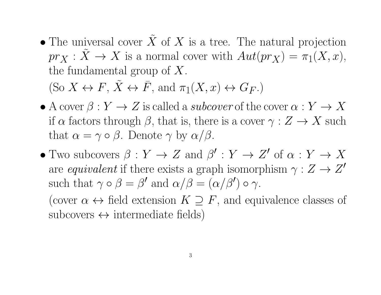• The universal cover  $\tilde{X}$  of X is a tree. The natural projection  $pr_X : \tilde{X} \to X$  is a normal cover with  $Aut(pr_X) = \tilde{\pi}_1(X, x),$ the fundamental group of X. (So  $X \leftrightarrow F$ ,  $\tilde{X} \leftrightarrow \bar{F}$ , and  $\pi_1(X, x) \leftrightarrow G_F$ .)

• A cover  $\beta: Y \to Z$  is called a *subcover* of the cover  $\alpha: Y \to X$ if  $\alpha$  factors through  $\beta$ , that is, there is a cover  $\gamma: Z \to X$  such that  $\alpha = \gamma \circ \beta$ . Denote  $\gamma$  by  $\alpha/\beta$ .

• Two subcovers  $\beta: Y \to Z$  and  $\beta': Y \to Z'$  of  $\alpha: Y \to X$ are equivalent if there exists a graph isomorphism  $\gamma : Z \to Z'$ such that  $\gamma \circ \beta = \beta'$  and  $\alpha/\beta = (\alpha/\beta') \circ \gamma$ .

(cover  $\alpha \leftrightarrow$  field extension  $K \supseteq F$ , and equivalence classes of  $subcores \leftrightarrow intermediate fields)$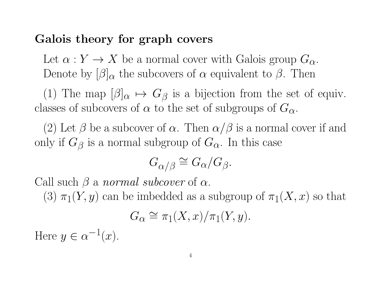# Galois theory for graph covers

Let  $\alpha: Y \to X$  be a normal cover with Galois group  $G_{\alpha}$ . Denote by  $\beta|_{\alpha}$  the subcovers of  $\alpha$  equivalent to  $\beta$ . Then

(1) The map  $[\beta]_{\alpha} \mapsto G_{\beta}$  is a bijection from the set of equiv. classes of subcovers of  $\alpha$  to the set of subgroups of  $G_{\alpha}$ .

(2) Let  $\beta$  be a subcover of  $\alpha$ . Then  $\alpha/\beta$  is a normal cover if and only if  $G_\beta$  is a normal subgroup of  $G_\alpha$ . In this case

$$
G_{\alpha/\beta} \cong G_{\alpha}/G_{\beta}.
$$

Call such  $\beta$  a normal subcover of  $\alpha$ .

(3)  $\pi_1(Y, y)$  can be imbedded as a subgroup of  $\pi_1(X, x)$  so that

$$
G_{\alpha} \cong \pi_1(X, x) / \pi_1(Y, y).
$$

Here  $y \in \alpha^{-1}(x)$ .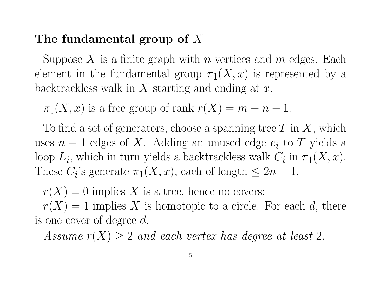## The fundamental group of X

Suppose X is a finite graph with n vertices and  $m$  edges. Each element in the fundamental group  $\pi_1(X, x)$  is represented by a backtrackless walk in  $X$  starting and ending at  $x$ .

 $\pi_1(X, x)$  is a free group of rank  $r(X) = m - n + 1$ .

To find a set of generators, choose a spanning tree  $T$  in  $X$ , which uses  $n-1$  edges of X. Adding an unused edge  $e_i$  to T yields a loop  $L_i$ , which in turn yields a backtrackless walk  $C_i$  in  $\pi_1(X, x)$ . These  $C_i$ 's generate  $\pi_1(X, x)$ , each of length  $\leq 2n - 1$ .

 $r(X) = 0$  implies X is a tree, hence no covers;

 $r(X) = 1$  implies X is homotopic to a circle. For each d, there is one cover of degree d.

Assume  $r(X) \geq 2$  and each vertex has degree at least 2.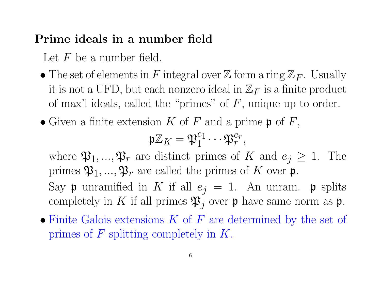## Prime ideals in a number field

Let  $F$  be a number field.

- The set of elements in F integral over  $\mathbb Z$  form a ring  $\mathbb Z_F$ . Usually it is not a UFD, but each nonzero ideal in  $\mathbb{Z}_F$  is a finite product of max'l ideals, called the "primes" of  $F$ , unique up to order.
- Given a finite extension K of F and a prime  $\mathfrak{p}$  of F,

$$
\mathfrak{p}\mathbb{Z}_K=\mathfrak{P}_1^{e_1}\cdots\mathfrak{P}_r^{e_r},
$$

where  $\mathfrak{P}_1, ..., \mathfrak{P}_r$  are distinct primes of K and  $e_j \geq 1$ . The primes  $\mathfrak{P}_1, ..., \mathfrak{P}_r$  are called the primes of  $K$  over  $\mathfrak{p}$ . Say **p** unramified in K if all  $e_j = 1$ . An unram. **p** splits completely in K if all primes  $\mathfrak{P}_j$  over  $\mathfrak{p}$  have same norm as  $\mathfrak{p}$ .

• Finite Galois extensions  $K$  of  $F$  are determined by the set of primes of  $F$  splitting completely in  $K$ .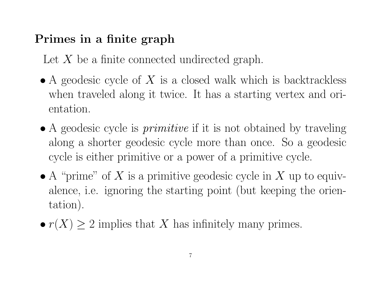# Primes in a finite graph

Let  $X$  be a finite connected undirected graph.

- A geodesic cycle of  $X$  is a closed walk which is backtrackless when traveled along it twice. It has a starting vertex and orientation.
- A geodesic cycle is *primitive* if it is not obtained by traveling along a shorter geodesic cycle more than once. So a geodesic cycle is either primitive or a power of a primitive cycle.
- A "prime" of X is a primitive geodesic cycle in X up to equivalence, i.e. ignoring the starting point (but keeping the orientation).
- $r(X) \geq 2$  implies that X has infinitely many primes.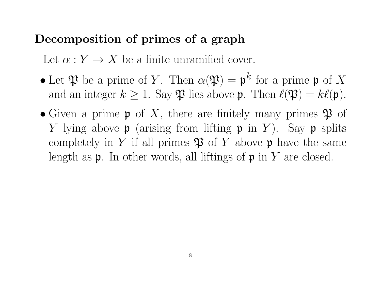## Decomposition of primes of a graph

Let  $\alpha: Y \to X$  be a finite unramified cover.

- Let  $\mathfrak P$  be a prime of Y. Then  $\alpha(\mathfrak P) = \mathfrak p^k$  for a prime  $\mathfrak p$  of X and an integer  $k \geq 1$ . Say  $\mathfrak P$  lies above  $\mathfrak p$ . Then  $\ell(\mathfrak P) = k\ell(\mathfrak p)$ .
- Given a prime  $\mathfrak p$  of X, there are finitely many primes  $\mathfrak P$  of Y lying above  $\mathfrak p$  (arising from lifting  $\mathfrak p$  in Y). Say  $\mathfrak p$  splits completely in Y if all primes  $\mathfrak P$  of Y above p have the same length as  $\mathfrak p$ . In other words, all liftings of  $\mathfrak p$  in Y are closed.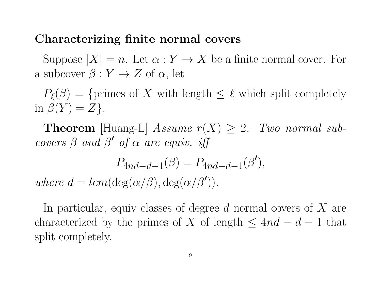#### Characterizing finite normal covers

Suppose  $|X| = n$ . Let  $\alpha: Y \to X$  be a finite normal cover. For a subcover  $\beta: Y \to Z$  of  $\alpha$ , let

 $P_{\ell}(\beta) = \{ \text{primes of } X \text{ with length } \leq \ell \text{ which split completely }$ in  $\beta(Y) = Z$ .

**Theorem** [Huang-L] Assume  $r(X) \geq 2$ . Two normal subcovers  $\beta$  and  $\beta'$  of  $\alpha$  are equiv. if

$$
P_{4nd-d-1}(\beta) = P_{4nd-d-1}(\beta'),
$$
  
where  $d = lcm(\deg(\alpha/\beta), \deg(\alpha/\beta')).$ 

In particular, equiv classes of degree  $d$  normal covers of  $X$  are characterized by the primes of X of length  $\leq 4nd - d - 1$  that split completely.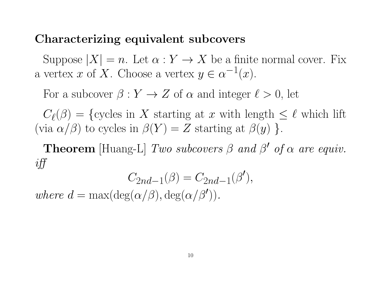#### Characterizing equivalent subcovers

Suppose  $|X| = n$ . Let  $\alpha: Y \to X$  be a finite normal cover. Fix a vertex x of X. Choose a vertex  $y \in \alpha^{-1}(x)$ .

For a subcover  $\beta : Y \to Z$  of  $\alpha$  and integer  $\ell > 0$ , let

 $C_{\ell}(\beta) = \{$ cycles in X starting at x with length  $\leq \ell$  which lift (via  $\alpha/\beta$ ) to cycles in  $\beta(Y) = Z$  starting at  $\beta(y)$  }.

**Theorem** [Huang-L] Two subcovers  $\beta$  and  $\beta'$  of  $\alpha$  are equiv. iff

$$
C_{2nd-1}(\beta) = C_{2nd-1}(\beta'),
$$

where  $d = \max(\deg(\alpha/\beta), \deg(\alpha/\beta')).$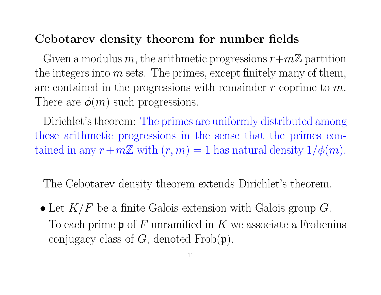## Cebotarev density theorem for number fields

Given a modulus m, the arithmetic progressions  $r+m\mathbb{Z}$  partition the integers into  $m$  sets. The primes, except finitely many of them, are contained in the progressions with remainder  $r$  coprime to  $m$ . There are  $\phi(m)$  such progressions.

Dirichlet's theorem: The primes are uniformly distributed among these arithmetic progressions in the sense that the primes contained in any  $r+m\mathbb{Z}$  with  $(r, m) = 1$  has natural density  $1/\phi(m)$ .

The Cebotarev density theorem extends Dirichlet's theorem.

• Let  $K/F$  be a finite Galois extension with Galois group  $G$ . To each prime  $\mathfrak p$  of F unramified in K we associate a Frobenius conjugacy class of  $G$ , denoted  $Frob(\mathfrak{p})$ .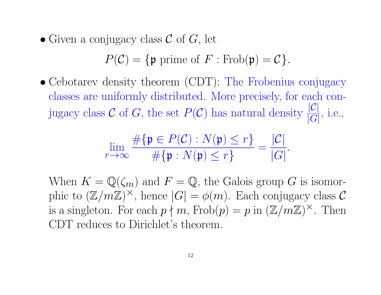• Given a conjugacy class  $\mathcal C$  of  $G$ , let

$$
P(\mathcal{C}) = \{ \mathfrak{p} \text{ prime of } F : \text{Frob}(\mathfrak{p}) = \mathcal{C} \}.
$$

• Cebotarev density theorem (CDT): The Frobenius conjugacy classes are uniformly distributed. More precisely, for each conjugacy class C of G, the set  $P(\mathcal{C})$  has natural density  $\frac{|\mathcal{C}|}{|C|}$  $|G|$ , i.e.,

$$
\lim_{r \to \infty} \frac{\#\{\mathfrak{p} \in P(\mathcal{C}) : N(\mathfrak{p}) \le r\}}{\#\{\mathfrak{p} : N(\mathfrak{p}) \le r\}} = \frac{|\mathcal{C}|}{|G|}.
$$

When  $K = \mathbb{Q}(\zeta_m)$  and  $F = \mathbb{Q}$ , the Galois group G is isomorphic to  $(\mathbb{Z}/m\mathbb{Z})^{\times}$ , hence  $|G| = \phi(m)$ . Each conjugacy class C is a singleton. For each  $p \nmid m$ ,  $Frob(p) = p$  in  $(\mathbb{Z}/m\mathbb{Z})^{\times}$ . Then CDT reduces to Dirichlet's theorem.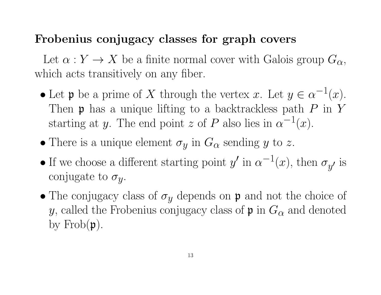## Frobenius conjugacy classes for graph covers

Let  $\alpha: Y \to X$  be a finite normal cover with Galois group  $G_{\alpha}$ , which acts transitively on any fiber.

- Let **p** be a prime of X through the vertex x. Let  $y \in \alpha^{-1}(x)$ . Then  $\mathfrak p$  has a unique lifting to a backtrackless path  $P$  in  $Y$ starting at y. The end point z of P also lies in  $\alpha^{-1}(x)$ .
- There is a unique element  $\sigma_y$  in  $G_\alpha$  sending y to z.
- If we choose a different starting point  $y'$  in  $\alpha^{-1}(x)$ , then  $\sigma_{y'}$  is conjugate to  $\sigma_y$ .
- The conjugacy class of  $\sigma_y$  depends on  $\mathfrak p$  and not the choice of y, called the Frobenius conjugacy class of  $\mathfrak p$  in  $G_\alpha$  and denoted by  $Frob(p)$ .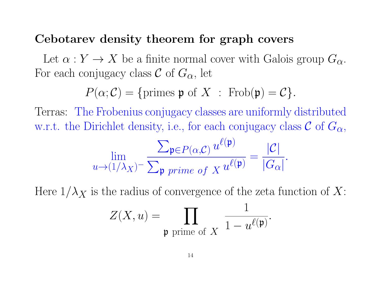#### Cebotarev density theorem for graph covers

Let  $\alpha: Y \to X$  be a finite normal cover with Galois group  $G_{\alpha}$ . For each conjugacy class  $\mathcal C$  of  $G_{\alpha}$ , let

$$
P(\alpha; \mathcal{C}) = \{ \text{primes } \mathfrak{p} \text{ of } X : \text{Frob}(\mathfrak{p}) = \mathcal{C} \}.
$$

Terras: The Frobenius conjugacy classes are uniformly distributed w.r.t. the Dirichlet density, i.e., for each conjugacy class  $\mathcal C$  of  $G_{\alpha}$ ,

$$
\lim_{u \to (1/\lambda_X)^-} \frac{\sum_{\mathfrak{p} \in P(\alpha, \mathcal{C})} u^{\ell(\mathfrak{p})}}{\sum_{\mathfrak{p} \text{ prime of } X} u^{\ell(\mathfrak{p})}} = \frac{|\mathcal{C}|}{|G_{\alpha}|}.
$$

Here  $1/\lambda_X$  is the radius of convergence of the zeta function of X:

$$
Z(X, u) = \prod_{\mathfrak{p} \text{ prime of } X} \frac{1}{1 - u^{\ell(\mathfrak{p})}}.
$$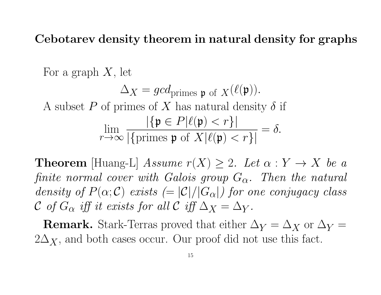Cebotarev density theorem in natural density for graphs

For a graph  $X$ , let  $\Delta_X = \text{gcd}_{\text{primes } \mathfrak{p} \text{ of } X}(\ell(\mathfrak{p})).$ A subset P of primes of X has natural density  $\delta$  if lim  $r \rightarrow \infty$  $|\{\mathfrak{p} \in P | \ell(\mathfrak{p}) < r\}|$  $|\{\text{primes }\mathfrak{p} \text{ of } X|\ell(\mathfrak{p}) < r\}|$  $=\delta$ .

**Theorem** [Huang-L] Assume  $r(X) \geq 2$ . Let  $\alpha : Y \to X$  be a finite normal cover with Galois group  $G_{\alpha}$ . Then the natural density of  $P(\alpha;\mathcal{C})$  exists  $(=|\mathcal{C}|/|G_{\alpha}|)$  for one conjugacy class C of  $G_{\alpha}$  iff it exists for all C iff  $\Delta_X = \Delta_Y$ .

**Remark.** Stark-Terras proved that either  $\Delta_Y = \Delta_X$  or  $\Delta_Y =$  $2\Delta_X$ , and both cases occur. Our proof did not use this fact.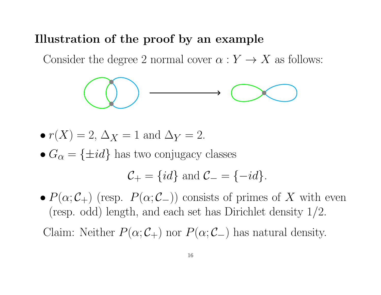#### Illustration of the proof by an example

Consider the degree 2 normal cover  $\alpha: Y \to X$  as follows:



- $r(X) = 2$ ,  $\Delta_X = 1$  and  $\Delta_Y = 2$ .
- $G_{\alpha} = \{\pm id\}$  has two conjugacy classes

$$
C_+ = \{id\} \text{ and } C_- = \{-id\}.
$$

•  $P(\alpha; C_+)$  (resp.  $P(\alpha; C_-)$ ) consists of primes of X with even (resp. odd) length, and each set has Dirichlet density 1/2.

Claim: Neither  $P(\alpha; C_+)$  nor  $P(\alpha; C_-)$  has natural density.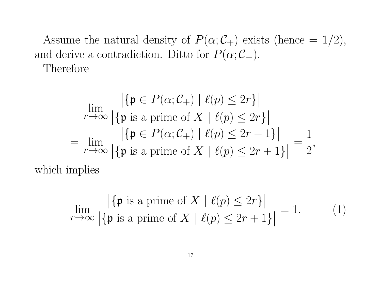Assume the natural density of  $P(\alpha; C_+)$  exists (hence = 1/2), and derive a contradiction. Ditto for  $P(\alpha; C_-\)$ . Therefore

$$
\lim_{r \to \infty} \frac{|\{\mathfrak{p} \in P(\alpha; C_+) \mid \ell(p) \le 2r\}|}{|\{\mathfrak{p} \text{ is a prime of } X \mid \ell(p) \le 2r\}|}
$$
\n
$$
= \lim_{r \to \infty} \frac{|\{\mathfrak{p} \in P(\alpha; C_+) \mid \ell(p) \le 2r + 1\}|}{|\{\mathfrak{p} \text{ is a prime of } X \mid \ell(p) \le 2r + 1\}|} = \frac{1}{2},
$$

which implies

$$
\lim_{r \to \infty} \frac{|\{\mathfrak{p} \text{ is a prime of } X \mid \ell(p) \le 2r\}|}{|\{\mathfrak{p} \text{ is a prime of } X \mid \ell(p) \le 2r + 1\}|} = 1.
$$
 (1)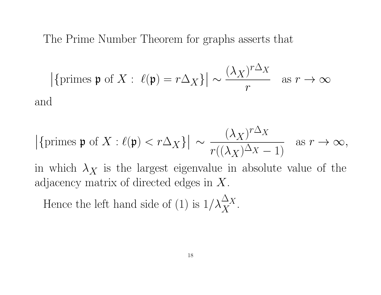The Prime Number Theorem for graphs asserts that

$$
\left| \{ \text{primes } \mathfrak{p} \text{ of } X : \ \ell(\mathfrak{p}) = r\Delta_X \} \right| \sim \frac{(\lambda_X)^{r\Delta_X}}{r} \quad \text{as } r \to \infty
$$
 and

$$
|\{\text{primes }\mathfrak{p} \text{ of } X : \ell(\mathfrak{p}) < r\Delta_X\}| \sim \frac{(\lambda_X)^{r\Delta_X}}{r((\lambda_X)^{\Delta_X} - 1)}
$$
 as  $r \to \infty$ ,

in which  $\lambda_X$  is the largest eigenvalue in absolute value of the adjacency matrix of directed edges in X.

Hence the left hand side of (1) is  $1/\lambda_X^{\Delta_X}$  $\overline{X}$ .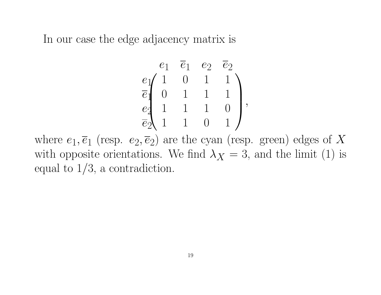In our case the edge adjacency matrix is

$$
\left. \begin{array}{ccc} e_1 & \overline{e}_1 & e_2 & \overline{e}_2 \\ e_1 & 1 & 0 & 1 & 1 \\ \overline{e}_1 & 0 & 1 & 1 & 1 \\ e_2 & 1 & 1 & 1 & 0 \\ \overline{e}_2 & 1 & 1 & 0 & 1 \end{array} \right),
$$

where  $e_1, \overline{e}_1$  (resp.  $e_2, \overline{e}_2$ ) are the cyan (resp. green) edges of X with opposite orientations. We find  $\lambda_X = 3$ , and the limit (1) is equal to 1/3, a contradiction.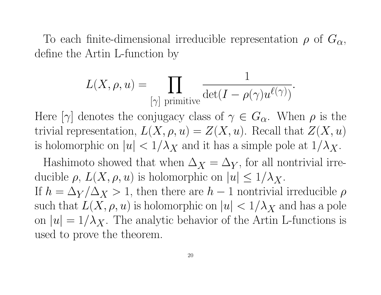To each finite-dimensional irreducible representation  $\rho$  of  $G_{\alpha}$ , define the Artin L-function by

$$
L(X, \rho, u) = \prod_{[\gamma] \text{ primitive}} \frac{1}{\det(I - \rho(\gamma)u^{\ell(\gamma)})}.
$$

Here  $[\gamma]$  denotes the conjugacy class of  $\gamma \in G_{\alpha}$ . When  $\rho$  is the trivial representation,  $L(X, \rho, u) = Z(X, u)$ . Recall that  $Z(X, u)$ is holomorphic on  $|u| < 1/\lambda_X$  and it has a simple pole at  $1/\lambda_X$ .

Hashimoto showed that when  $\Delta_X = \Delta_Y$ , for all nontrivial irreducible  $\rho$ ,  $L(X, \rho, u)$  is holomorphic on  $|u| \leq 1/\lambda_X$ . If  $h = \Delta_Y / \Delta_X > 1$ , then there are  $h - 1$  nontrivial irreducible  $\rho$ such that  $L(X, \rho, u)$  is holomorphic on  $|u| < 1/\lambda_X$  and has a pole on  $|u| = 1/\lambda_X$ . The analytic behavior of the Artin L-functions is used to prove the theorem.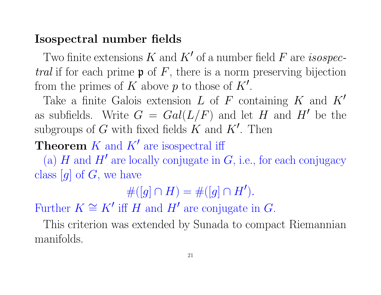## Isospectral number fields

Two finite extensions  $K$  and  $K'$  of a number field  $F$  are *isospectral* if for each prime  $\mathfrak p$  of  $F$ , there is a norm preserving bijection from the primes of K above p to those of  $K'$ .

Take a finite Galois extension L of F containing K and  $K'$ as subfields. Write  $G = Gal(L/F)$  and let H and H' be the subgroups of G with fixed fields  $K$  and  $K'$ . Then

**Theorem**  $K$  and  $K'$  are isospectral iff

(a) H and H' are locally conjugate in  $G$ , i.e., for each conjugacy class  $[g]$  of  $G$ , we have

 $\#([g] \cap H) = \#([g] \cap H').$ 

Further  $K \cong K'$  iff H and H' are conjugate in G.

This criterion was extended by Sunada to compact Riemannian manifolds.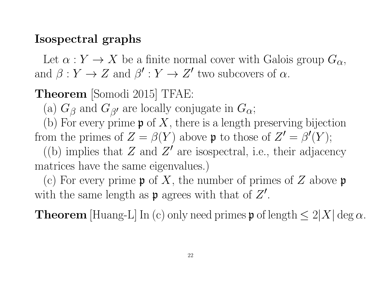#### Isospectral graphs

Let  $\alpha: Y \to X$  be a finite normal cover with Galois group  $G_{\alpha}$ , and  $\beta: Y \to Z$  and  $\beta': Y \to Z'$  two subcovers of  $\alpha$ .

Theorem [Somodi 2015] TFAE:

(a)  $G_{\beta}$  and  $G_{\beta'}$  are locally conjugate in  $G_{\alpha}$ ;

(b) For every prime  $\mathfrak p$  of X, there is a length preserving bijection from the primes of  $Z = \beta(Y)$  above **p** to those of  $Z' = \beta'(Y)$ ;

((b) implies that Z and  $Z'$  are isospectral, i.e., their adjacency matrices have the same eigenvalues.)

(c) For every prime  $\mathfrak p$  of X, the number of primes of Z above  $\mathfrak p$ with the same length as  $\mathfrak p$  agrees with that of  $Z'$ .

**Theorem** [Huang-L] In (c) only need primes **p** of length  $\leq 2|X| \deg \alpha$ .